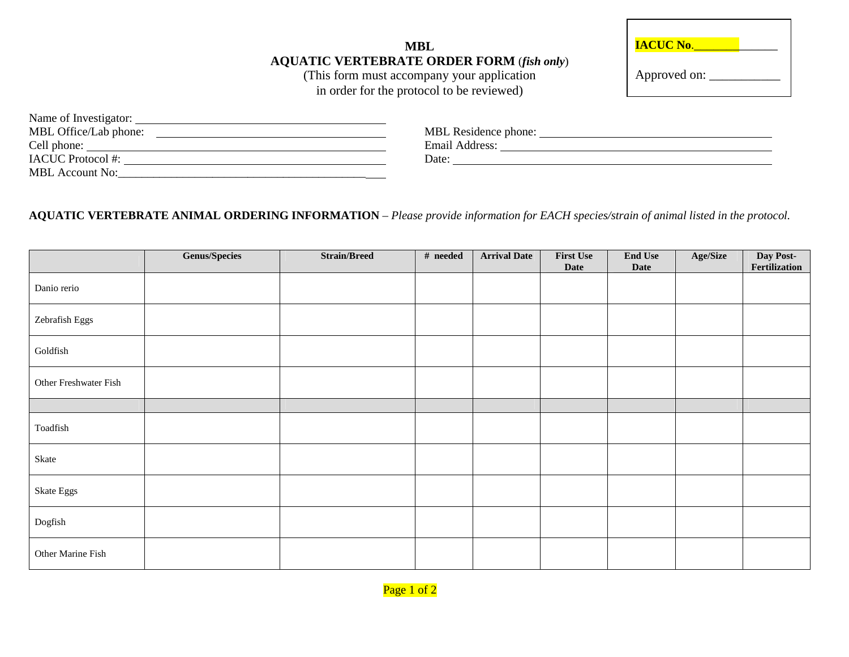**MBL AQUATIC VERTEBRATE ORDER FORM** (*fish only*)

(This form must accompany your application in order for the protocol to be reviewed)

| <b>IACUC No.</b> |  |
|------------------|--|
| Approved on:     |  |

| Name of Investigator:    |                      |
|--------------------------|----------------------|
| MBL Office/Lab phone:    | MBL Residence phone: |
| Cell phone:              | Email Address:       |
| <b>IACUC</b> Protocol #: | Date:                |
| <b>MBL</b> Account No:   |                      |

## AQUATIC VERTEBRATE ANIMAL ORDERING INFORMATION - Please provide information for EACH species/strain of animal listed in the protocol.

|                       | <b>Genus/Species</b> | <b>Strain/Breed</b> | # needed | <b>Arrival Date</b> | <b>First Use</b><br><b>Date</b> | <b>End Use</b><br><b>Date</b> | Age/Size | Day Post-<br>Fertilization |
|-----------------------|----------------------|---------------------|----------|---------------------|---------------------------------|-------------------------------|----------|----------------------------|
| Danio rerio           |                      |                     |          |                     |                                 |                               |          |                            |
| Zebrafish Eggs        |                      |                     |          |                     |                                 |                               |          |                            |
| Goldfish              |                      |                     |          |                     |                                 |                               |          |                            |
| Other Freshwater Fish |                      |                     |          |                     |                                 |                               |          |                            |
|                       |                      |                     |          |                     |                                 |                               |          |                            |
| Toadfish              |                      |                     |          |                     |                                 |                               |          |                            |
| Skate                 |                      |                     |          |                     |                                 |                               |          |                            |
| Skate Eggs            |                      |                     |          |                     |                                 |                               |          |                            |
| Dogfish               |                      |                     |          |                     |                                 |                               |          |                            |
| Other Marine Fish     |                      |                     |          |                     |                                 |                               |          |                            |